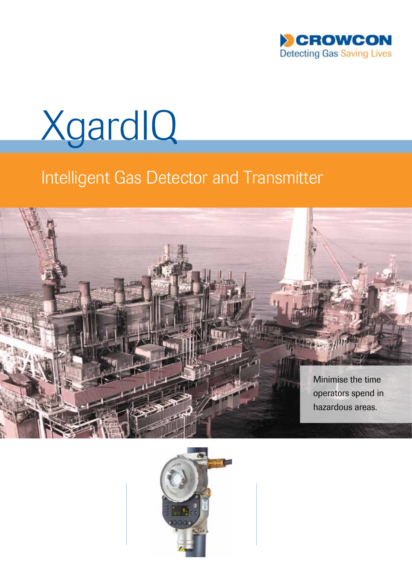



# Intelligent Gas Detector and Transmitter



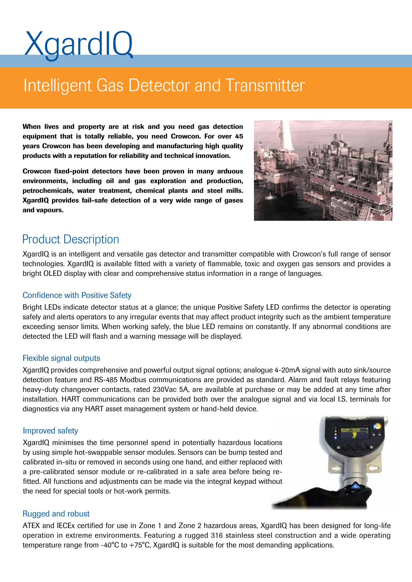# **XgardIQ**

# Intelligent Gas Detector and Transmitter

When lives and property are at risk and you need gas detection equipment that is totally reliable, you need Crowcon. For over 45 years Crowcon has been developing and manufacturing high quality products with a reputation for reliability and technical innovation.

Crowcon fixed-point detectors have been proven in many arduous environments, including oil and gas exploration and production, petrochemicals, water treatment, chemical plants and steel mills. XgardIQ provides fail-safe detection of a very wide range of gases and vapours.



## Product Description

XgardIQ is an intelligent and versatile gas detector and transmitter compatible with Crowcon's full range of sensor technologies. XgardIQ is available fitted with a variety of flammable, toxic and oxygen gas sensors and provides a bright OLED display with clear and comprehensive status information in a range of languages.

#### Confidence with Positive Safety

Bright LEDs indicate detector status at a glance; the unique Positive Safety LED confirms the detector is operating safely and alerts operators to any irregular events that may affect product integrity such as the ambient temperature exceeding sensor limits. When working safely, the blue LED remains on constantly. If any abnormal conditions are detected the LED will flash and a warning message will be displayed.

#### Flexible signal outputs

XgardIQ provides comprehensive and powerful output signal options; analogue 4-20mA signal with auto sink/source detection feature and RS-485 Modbus communications are provided as standard. Alarm and fault relays featuring heavy-duty changeover contacts, rated 230Vac 5A, are available at purchase or may be added at any time after installation. HART communications can be provided both over the analogue signal and via local I.S. terminals for diagnostics via any HART asset management system or hand-held device.

#### Improved safety

XgardIQ minimises the time personnel spend in potentially hazardous locations by using simple hot-swappable sensor modules. Sensors can be bump tested and calibrated in-situ or removed in seconds using one hand, and either replaced with a pre-calibrated sensor module or re-calibrated in a safe area before being refitted. All functions and adjustments can be made via the integral keypad without the need for special tools or hot-work permits.



#### Rugged and robust

ATEX and IECEx certified for use in Zone 1 and Zone 2 hazardous areas, XgardIQ has been designed for long-life operation in extreme environments. Featuring a rugged 316 stainless steel construction and a wide operating temperature range from -40 $^{\circ}$ C to +75 $^{\circ}$ C, XgardIQ is suitable for the most demanding applications.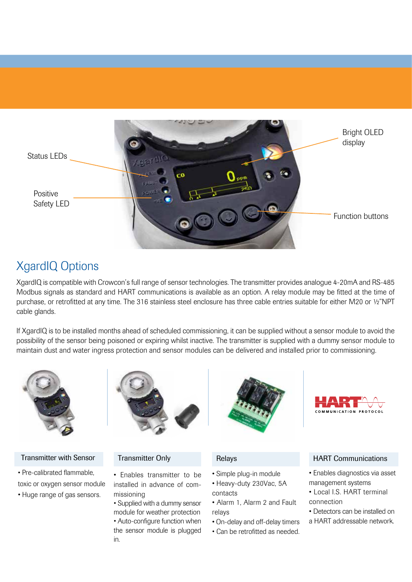

# XgardIQ Options

XgardIQ is compatible with Crowcon's full range of sensor technologies. The transmitter provides analogue 4-20mA and RS-485 Modbus signals as standard and HART communications is available as an option. A relay module may be fitted at the time of purchase, or retrofitted at any time. The 316 stainless steel enclosure has three cable entries suitable for either M20 or 1/2"NPT cable glands.

If XgardIQ is to be installed months ahead of scheduled commissioning, it can be supplied without a sensor module to avoid the possibility of the sensor being poisoned or expiring whilst inactive. The transmitter is supplied with a dummy sensor module to maintain dust and water ingress protection and sensor modules can be delivered and installed prior to commissioning.



#### Transmitter with Sensor

• Pre-calibrated flammable, toxic or oxygen sensor module

• Huge range of gas sensors.



#### Transmitter Only

- Enables transmitter to be installed in advance of commissioning
- Supplied with a dummy sensor module for weather protection • Auto-configure function when the sensor module is plugged in.



### Relays

- Simple plug-in module
- Heavy-duty 230Vac, 5A contacts
- Alarm 1, Alarm 2 and Fault relays
- On-delay and off-delay timers
- Can be retrofitted as needed.



#### HART Communications

- Enables diagnostics via asset management systems
- Local I.S. HART terminal connection
- Detectors can be installed on
- a HART addressable network.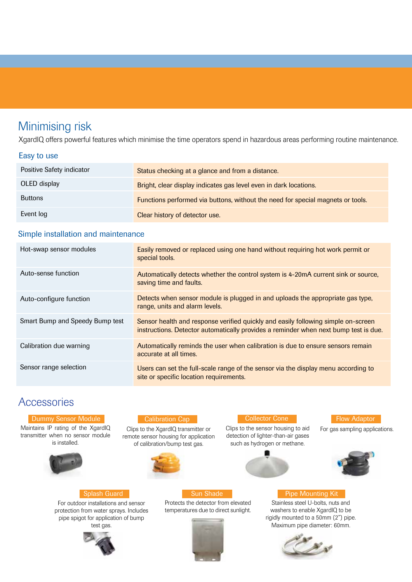# Minimising risk

XgardIQ offers powerful features which minimise the time operators spend in hazardous areas performing routine maintenance.

#### Easy to use

| Positive Safety indicator | Status checking at a glance and from a distance.                                |
|---------------------------|---------------------------------------------------------------------------------|
| OLED display              | Bright, clear display indicates gas level even in dark locations.               |
| <b>Buttons</b>            | Functions performed via buttons, without the need for special magnets or tools. |
| Event log                 | Clear history of detector use.                                                  |

#### Simple installation and maintenance

| Hot-swap sensor modules         | Easily removed or replaced using one hand without requiring hot work permit or<br>special tools.                                                                          |
|---------------------------------|---------------------------------------------------------------------------------------------------------------------------------------------------------------------------|
| Auto-sense function             | Automatically detects whether the control system is 4-20mA current sink or source,<br>saving time and faults.                                                             |
| Auto-configure function         | Detects when sensor module is plugged in and uploads the appropriate gas type,<br>range, units and alarm levels.                                                          |
| Smart Bump and Speedy Bump test | Sensor health and response verified quickly and easily following simple on-screen<br>instructions. Detector automatically provides a reminder when next bump test is due. |
| Calibration due warning         | Automatically reminds the user when calibration is due to ensure sensors remain<br>accurate at all times.                                                                 |
| Sensor range selection          | Users can set the full-scale range of the sensor via the display menu according to<br>site or specific location requirements.                                             |

### **Accessories**

#### **Dummy Sensor Module**

Maintains IP rating of the XgardIQ transmitter when no sensor module is installed.



Splash Guard For outdoor installations and sensor protection from water sprays. Includes pipe spigot for application of bump test gas.

#### Calibration Cap

Clips to the XgardIQ transmitter or remote sensor housing for application of calibration/bump test gas.



Sun Shade

Protects the detector from elevated temperatures due to direct sunlight.



Collector Cone

Clips to the sensor housing to aid detection of lighter-than-air gases such as hydrogen or methane.



#### **Flow Adaptor**

For gas sampling applications.



#### Pipe Mounting Kit

Stainless steel U-bolts, nuts and washers to enable XgardIQ to be rigidly mounted to a 50mm (2") pipe. Maximum pipe diameter: 60mm.



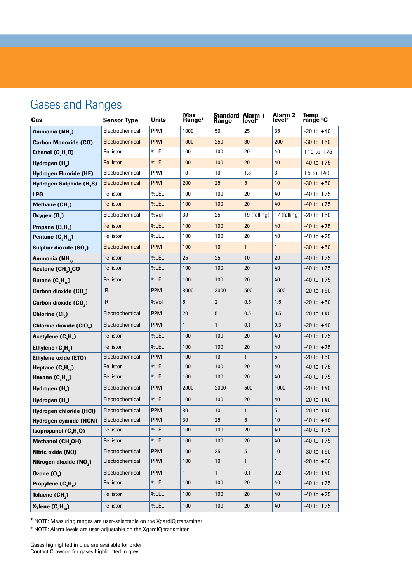# Gases and Ranges

| Gas                                        | <b>Sensor Type</b> | <b>Units</b> | Max<br>Range* | <b>Standard Alarm 1</b><br>Range | level <sup>+</sup> | <b>Alarm 2</b><br>level <sup>+</sup> | Temp<br>range <sup>o</sup> C |
|--------------------------------------------|--------------------|--------------|---------------|----------------------------------|--------------------|--------------------------------------|------------------------------|
| Ammonia (NH <sub>2</sub> )                 | Electrochemical    | <b>PPM</b>   | 1000          | 50                               | 25                 | 35                                   | $-20$ to $+40$               |
| <b>Carbon Monoxide (CO)</b>                | Electrochemical    | <b>PPM</b>   | 1000          | 250                              | 30                 | 200                                  | $-30$ to $+50$               |
| Ethanol $(C, He 0)$                        | Pellistor          | %LEL         | 100           | 100                              | 20                 | 40                                   | $+10$ to $+75$               |
| Hydrogen (H <sub>2</sub> )                 | <b>Pellistor</b>   | %LEL         | 100           | 100                              | 20                 | 40                                   | $-40$ to $+75$               |
| <b>Hydrogen Fluoride (HF)</b>              | Electrochemical    | <b>PPM</b>   | 10            | 10                               | 1.8                | 3                                    | $+5$ to $+40$                |
| Hydrogen Sulphide (H <sub>2</sub> S)       | Electrochemical    | <b>PPM</b>   | 200           | 25                               | $5\phantom{.0}$    | 10                                   | $-30$ to $+50$               |
| <b>LPG</b>                                 | Pellistor          | %LEL         | 100           | 100                              | 20                 | 40                                   | $-40$ to $+75$               |
| Methane (CH)                               | <b>Pellistor</b>   | %LEL         | 100           | 100                              | 20                 | 40                                   | $-40$ to $+75$               |
| Oxygen (O <sub>2</sub> )                   | Electrochemical    | %Vol         | 30            | 25                               | 19 (falling)       | 17 (falling)                         | $-20$ to $+50$               |
| Propane (C <sub>3</sub> H <sub>a</sub> )   | <b>Pellistor</b>   | %LEL         | 100           | 100                              | 20                 | 40                                   | $-40$ to $+75$               |
| Pentane $(C_{\rm g}H_{1,2})$               | Pellistor          | %LEL         | 100           | 100                              | 20                 | 40                                   | $-40$ to $+75$               |
| Sulphur dioxide (SO <sub>2</sub> )         | Electrochemical    | <b>PPM</b>   | 100           | 10                               | $\mathbf{1}$       | $\mathbf{1}$                         | $-30$ to $+50$               |
| Ammonia (NH <sub>3)</sub>                  | Pellistor          | %LEL         | 25            | 25                               | 10                 | 20                                   | $-40$ to $+75$               |
| Acetone (CH <sub>3</sub> ) <sub>2</sub> CO | Pellistor          | %LEL         | 100           | 100                              | 20                 | 40                                   | $-40$ to $+75$               |
| Butane $(C_{4}H_{10})$                     | Pellistor          | %LEL         | 100           | 100                              | 20                 | 40                                   | $-40$ to $+75$               |
| Carbon dioxide (CO <sub>2</sub> )          | IR.                | <b>PPM</b>   | 3000          | 3000                             | 500                | 1500                                 | $-20$ to $+50$               |
| Carbon dioxide (CO <sub>2</sub> )          | IR.                | %Vol         | 5             | $\overline{2}$                   | 0.5                | 1.5                                  | $-20$ to $+50$               |
| Chlorine (Cl <sub>2</sub> )                | Electrochemical    | <b>PPM</b>   | 20            | 5                                | 0.5                | 0.5                                  | $-20$ to $+40$               |
| Chlorine dioxide (CIO <sub>2</sub> )       | Electrochemical    | <b>PPM</b>   | $\mathbf{1}$  | $\mathbf{1}$                     | 0.1                | 0.3                                  | $-20$ to $+40$               |
| Acetylene (C <sub>2</sub> H <sub>2</sub> ) | Pellistor          | %LEL         | 100           | 100                              | 20                 | 40                                   | $-40$ to $+75$               |
| Ethylene $(C, H)$                          | Pellistor          | %LEL         | 100           | 100                              | 20                 | 40                                   | $-40$ to $+75$               |
| <b>Ethylene oxide (ETO)</b>                | Electrochemical    | <b>PPM</b>   | 100           | 10                               | 1                  | 5                                    | $-20$ to $+50$               |
| Heptane $(C, H_{16})$                      | Pellistor          | %LEL         | 100           | 100                              | 20                 | 40                                   | $-40$ to $+75$               |
| Hexane $(C_{\beta}H_{14})$                 | Pellistor          | %LEL         | 100           | 100                              | 20                 | 40                                   | $-40$ to $+75$               |
| Hydrogen (H <sub>2</sub> )                 | Electrochemical    | <b>PPM</b>   | 2000          | 2000                             | 500                | 1000                                 | $-20$ to $+40$               |
| Hydrogen (H <sub>a</sub> )                 | Electrochemical    | %LEL         | 100           | 100                              | 20                 | 40                                   | $-20$ to $+40$               |
| Hydrogen chloride (HCI)                    | Electrochemical    | <b>PPM</b>   | 30            | 10                               | $\mathbf{1}$       | 5                                    | $-20$ to $+40$               |
| Hydrogen cyanide (HCN)                     | Electrochemical    | <b>PPM</b>   | 30            | 25                               | 5                  | 10                                   | $-40$ to $+40$               |
| Isopropanol $(C_{3}H_{8}O)$                | Pellistor          | %LEL         | 100           | 100                              | 20                 | 40                                   | $-40$ to $+75$               |
| Methanol (CH <sub>3</sub> OH)              | Pellistor          | %LEL         | 100           | 100                              | 20                 | 40                                   | $-40$ to $+75$               |
| Nitric oxide (NO)                          | Electrochemical    | <b>PPM</b>   | 100           | 25                               | 5                  | 10                                   | $-30$ to $+50$               |
| Nitrogen dioxide (NO2)                     | Electrochemical    | <b>PPM</b>   | 100           | 10                               | $\mathbf{1}$       | $\mathbf{1}$                         | $-20$ to $+50$               |
| Ozone $(0, 0)$                             | Electrochemical    | <b>PPM</b>   | $\mathbf{1}$  | $\mathbf{1}$                     | 0.1                | 0.2                                  | $-20$ to $+40$               |
| Propylene $(C_3H_6)$                       | Pellistor          | %LEL         | 100           | 100                              | 20                 | 40                                   | $-40$ to $+75$               |
| Toluene (CH <sub>2</sub> )                 | Pellistor          | %LEL         | 100           | 100                              | 20                 | 40                                   | $-40$ to $+75$               |
| Xylene $(C_{8}H_{10})$                     | Pellistor          | %LEL         | 100           | 100                              | 20                 | 40                                   | $-40$ to $+75$               |

\* NOTE: Measuring ranges are user-selectable on the XgardIQ transmitter

+ NOTE: Alarm levels are user-adjustable on the XgardIQ transmitter

Gases highlighted in blue are available for order Contact Crowcon for gases highlighted in grey